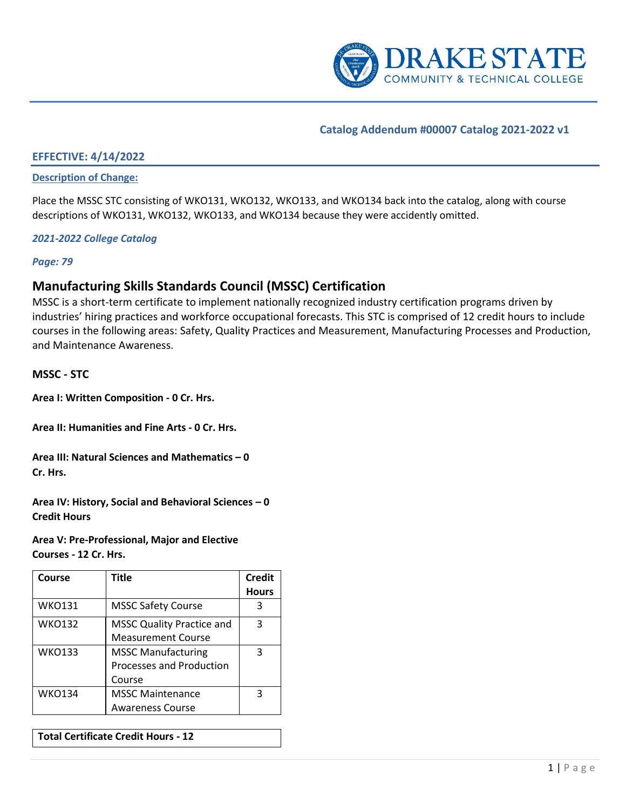

## **Catalog Addendum #00007 Catalog 2021-2022 v1**

## **EFFECTIVE: 4/14/2022**

#### **Description of Change:**

Place the MSSC STC consisting of WKO131, WKO132, WKO133, and WKO134 back into the catalog, along with course descriptions of WKO131, WKO132, WKO133, and WKO134 because they were accidently omitted.

#### *2021-2022 College Catalog*

*Page: 79*

## **Manufacturing Skills Standards Council (MSSC) Certification**

MSSC is a short-term certificate to implement nationally recognized industry certification programs driven by industries' hiring practices and workforce occupational forecasts. This STC is comprised of 12 credit hours to include courses in the following areas: Safety, Quality Practices and Measurement, Manufacturing Processes and Production, and Maintenance Awareness.

#### **MSSC - STC**

**Area I: Written Composition - 0 Cr. Hrs.** 

**Area II: Humanities and Fine Arts - 0 Cr. Hrs.** 

**Area III: Natural Sciences and Mathematics – 0 Cr. Hrs.**

**Area IV: History, Social and Behavioral Sciences – 0 Credit Hours**

**Area V: Pre-Professional, Major and Elective Courses - 12 Cr. Hrs.**

| Course        | <b>Title</b>                     | <b>Credit</b> |
|---------------|----------------------------------|---------------|
|               |                                  | <b>Hours</b>  |
| <b>WKO131</b> | <b>MSSC Safety Course</b>        | 3             |
| <b>WKO132</b> | <b>MSSC Quality Practice and</b> | 3             |
|               | <b>Measurement Course</b>        |               |
| <b>WKO133</b> | <b>MSSC Manufacturing</b>        | 3             |
|               | <b>Processes and Production</b>  |               |
|               | Course                           |               |
| <b>WKO134</b> | <b>MSSC Maintenance</b>          | 3             |
|               | <b>Awareness Course</b>          |               |

**Total Certificate Credit Hours - 12**